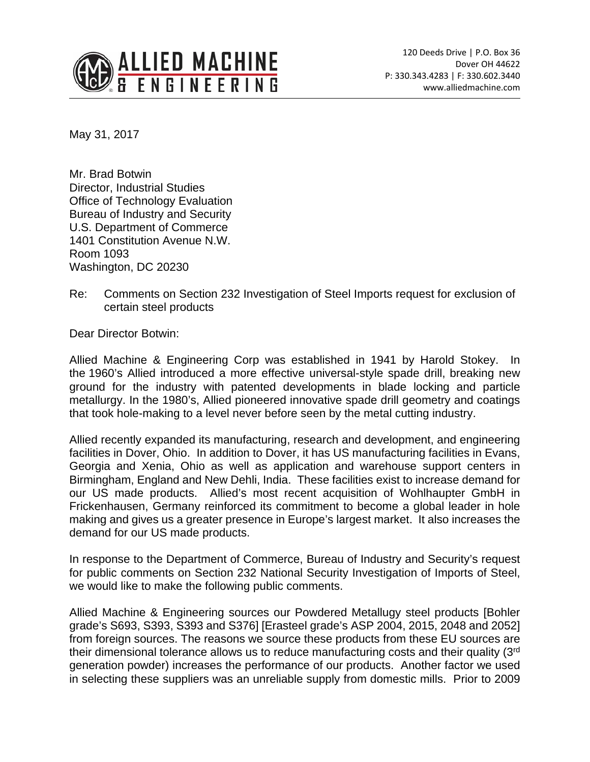

May 31, 2017

Mr. Brad Botwin Director, Industrial Studies Office of Technology Evaluation Bureau of Industry and Security U.S. Department of Commerce 1401 Constitution Avenue N.W. Room 1093 Washington, DC 20230

Re: Comments on Section 232 Investigation of Steel Imports request for exclusion of certain steel products

Dear Director Botwin:

Allied Machine & Engineering Corp was established in 1941 by Harold Stokey. In the 1960's Allied introduced a more effective universal-style spade drill, breaking new ground for the industry with patented developments in blade locking and particle metallurgy. In the 1980's, Allied pioneered innovative spade drill geometry and coatings that took hole-making to a level never before seen by the metal cutting industry.

Allied recently expanded its manufacturing, research and development, and engineering facilities in Dover, Ohio. In addition to Dover, it has US manufacturing facilities in Evans, Georgia and Xenia, Ohio as well as application and warehouse support centers in Birmingham, England and New Dehli, India. These facilities exist to increase demand for our US made products. Allied's most recent acquisition of Wohlhaupter GmbH in Frickenhausen, Germany reinforced its commitment to become a global leader in hole making and gives us a greater presence in Europe's largest market. It also increases the demand for our US made products.

In response to the Department of Commerce, Bureau of Industry and Security's request for public comments on Section 232 National Security Investigation of Imports of Steel, we would like to make the following public comments.

Allied Machine & Engineering sources our Powdered Metallugy steel products [Bohler grade's S693, S393, S393 and S376] [Erasteel grade's ASP 2004, 2015, 2048 and 2052] from foreign sources. The reasons we source these products from these EU sources are their dimensional tolerance allows us to reduce manufacturing costs and their quality (3rd generation powder) increases the performance of our products. Another factor we used in selecting these suppliers was an unreliable supply from domestic mills. Prior to 2009